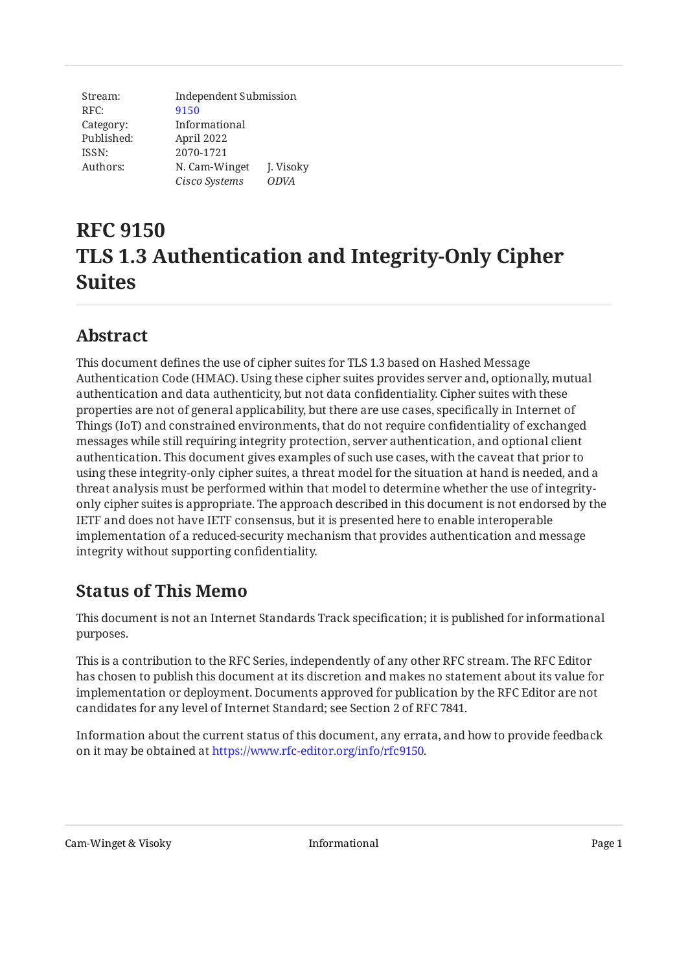| Stream:    | Independent Submission |             |  |
|------------|------------------------|-------------|--|
| RFC:       | 9150                   |             |  |
| Category:  | Informational          |             |  |
| Published: | April 2022             |             |  |
| ISSN:      | 2070-1721              |             |  |
| Authors:   | N. Cam-Winget          | J. Visoky   |  |
|            | Cisco Systems          | <b>ODVA</b> |  |

# **RFC 9150 TLS 1.3 Authentication and Integrity-Only Cipher Suites**

# <span id="page-0-0"></span>**[Abstract](#page-0-0)**

This document defines the use of cipher suites for TLS 1.3 based on Hashed Message Authentication Code (HMAC). Using these cipher suites provides server and, optionally, mutual authentication and data authenticity, but not data confidentiality. Cipher suites with these properties are not of general applicability, but there are use cases, specifically in Internet of Things (IoT) and constrained environments, that do not require confidentiality of exchanged messages while still requiring integrity protection, server authentication, and optional client authentication. This document gives examples of such use cases, with the caveat that prior to using these integrity-only cipher suites, a threat model for the situation at hand is needed, and a threat analysis must be performed within that model to determine whether the use of integrityonly cipher suites is appropriate. The approach described in this document is not endorsed by the IETF and does not have IETF consensus, but it is presented here to enable interoperable implementation of a reduced-security mechanism that provides authentication and message integrity without supporting confidentiality.

# <span id="page-0-1"></span>**[Status of This Memo](#page-0-1)**

This document is not an Internet Standards Track specification; it is published for informational purposes.

This is a contribution to the RFC Series, independently of any other RFC stream. The RFC Editor has chosen to publish this document at its discretion and makes no statement about its value for implementation or deployment. Documents approved for publication by the RFC Editor are not candidates for any level of Internet Standard; see Section 2 of RFC 7841.

Information about the current status of this document, any errata, and how to provide feedback on it may be obtained at [https://www.rfc-editor.org/info/rfc9150.](https://www.rfc-editor.org/info/rfc9150)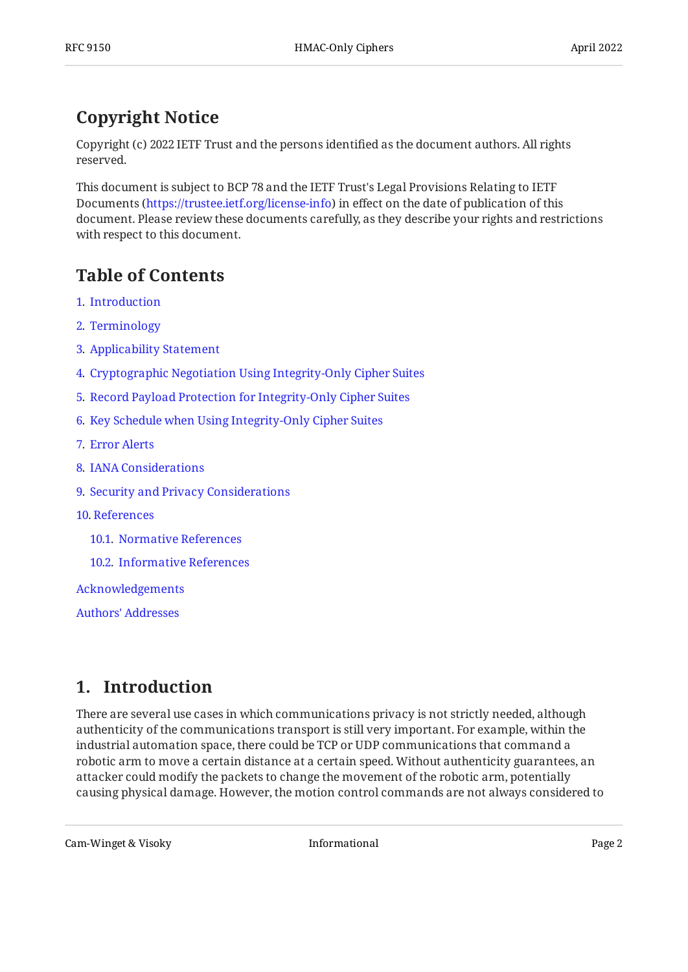# <span id="page-1-0"></span>**[Copyright Notice](#page-1-0)**

Copyright (c) 2022 IETF Trust and the persons identified as the document authors. All rights reserved.

This document is subject to BCP 78 and the IETF Trust's Legal Provisions Relating to IETF Documents (<https://trustee.ietf.org/license-info>) in effect on the date of publication of this document. Please review these documents carefully, as they describe your rights and restrictions with respect to this document.

# <span id="page-1-1"></span>**[Table of Contents](#page-1-1)**

- [1](#page-1-2). [Introduction](#page-1-2)
- [2](#page-2-0). [Terminology](#page-2-0)
- [3](#page-2-1). [Applicability Statement](#page-2-1)
- [4](#page-4-0). [Cryptographic Negotiation Using Integrity-Only Cipher Suites](#page-4-0)
- [5](#page-5-0). [Record Payload Protection for Integrity-Only Cipher Suites](#page-5-0)
- [6](#page-6-0). [Key Schedule when Using Integrity-Only Cipher Suites](#page-6-0)
- [7](#page-6-1). [Error Alerts](#page-6-1)
- [8](#page-7-0). [IANA Considerations](#page-7-0)
- [9](#page-7-1). [Security and Privacy Considerations](#page-7-1)
- [10](#page-8-0). [References](#page-8-0)
	- [10.1.](#page-8-1) [Normative References](#page-8-1)
	- [10.2.](#page-9-0) [Informative References](#page-9-0)

[Acknowledgements](#page-9-1)

[Authors' Addresses](#page-9-2)

# <span id="page-1-2"></span>**[1. Introduction](#page-1-2)**

There are several use cases in which communications privacy is not strictly needed, although authenticity of the communications transport is still very important. For example, within the industrial automation space, there could be TCP or UDP communications that command a robotic arm to move a certain distance at a certain speed. Without authenticity guarantees, an attacker could modify the packets to change the movement of the robotic arm, potentially causing physical damage. However, the motion control commands are not always considered to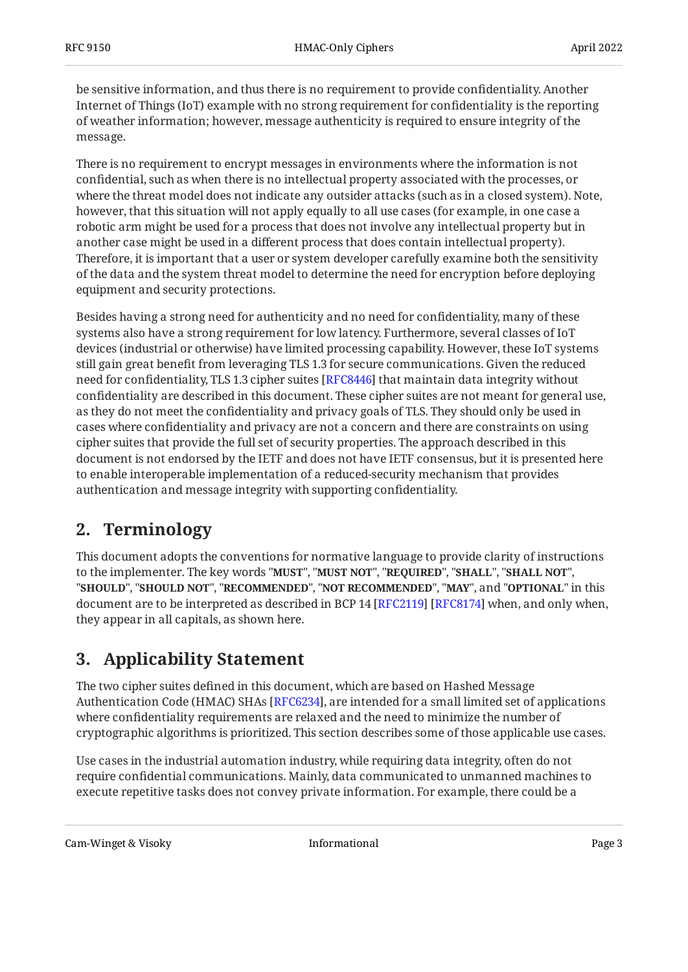be sensitive information, and thus there is no requirement to provide confidentiality. Another Internet of Things (IoT) example with no strong requirement for confidentiality is the reporting of weather information; however, message authenticity is required to ensure integrity of the message.

There is no requirement to encrypt messages in environments where the information is not confidential, such as when there is no intellectual property associated with the processes, or where the threat model does not indicate any outsider attacks (such as in a closed system). Note, however, that this situation will not apply equally to all use cases (for example, in one case a robotic arm might be used for a process that does not involve any intellectual property but in another case might be used in a different process that does contain intellectual property). Therefore, it is important that a user or system developer carefully examine both the sensitivity of the data and the system threat model to determine the need for encryption before deploying equipment and security protections.

Besides having a strong need for authenticity and no need for confidentiality, many of these systems also have a strong requirement for low latency. Furthermore, several classes of IoT devices (industrial or otherwise) have limited processing capability. However, these IoT systems still gain great benefit from leveraging TLS 1.3 for secure communications. Given the reduced need for confidentiality, TLS 1.3 cipher suites [[RFC8446\]](#page-9-3) that maintain data integrity without confidentiality are described in this document. These cipher suites are not meant for general use, as they do not meet the confidentiality and privacy goals of TLS. They should only be used in cases where confidentiality and privacy are not a concern and there are constraints on using cipher suites that provide the full set of security properties. The approach described in this document is not endorsed by the IETF and does not have IETF consensus, but it is presented here to enable interoperable implementation of a reduced-security mechanism that provides authentication and message integrity with supporting confidentiality.

### <span id="page-2-0"></span>**[2. Terminology](#page-2-0)**

This document adopts the conventions for normative language to provide clarity of instructions to the implementer. The key words "**MUST", "MUST NOT", "REQUIRED", "SHALL ", "SHALL NOT",** "SHOULD", "SHOULD NOT", "RECOMMENDED", "NOT RECOMMENDED", "MAY", and "OPTIONAL" in this document are to be interpreted as described in BCP 14 [RFC2119] [RFC8174] when, and only when, they appear in all capitals, as shown here.

# <span id="page-2-1"></span>**[3. Applicability Statement](#page-2-1)**

The two cipher suites defined in this document, which are based on Hashed Message Authentication Code (HMAC) SHAs [[RFC6234\]](#page-8-3), are intended for a small limited set of applications where confidentiality requirements are relaxed and the need to minimize the number of cryptographic algorithms is prioritized. This section describes some of those applicable use cases.

Use cases in the industrial automation industry, while requiring data integrity, often do not require confidential communications. Mainly, data communicated to unmanned machines to execute repetitive tasks does not convey private information. For example, there could be a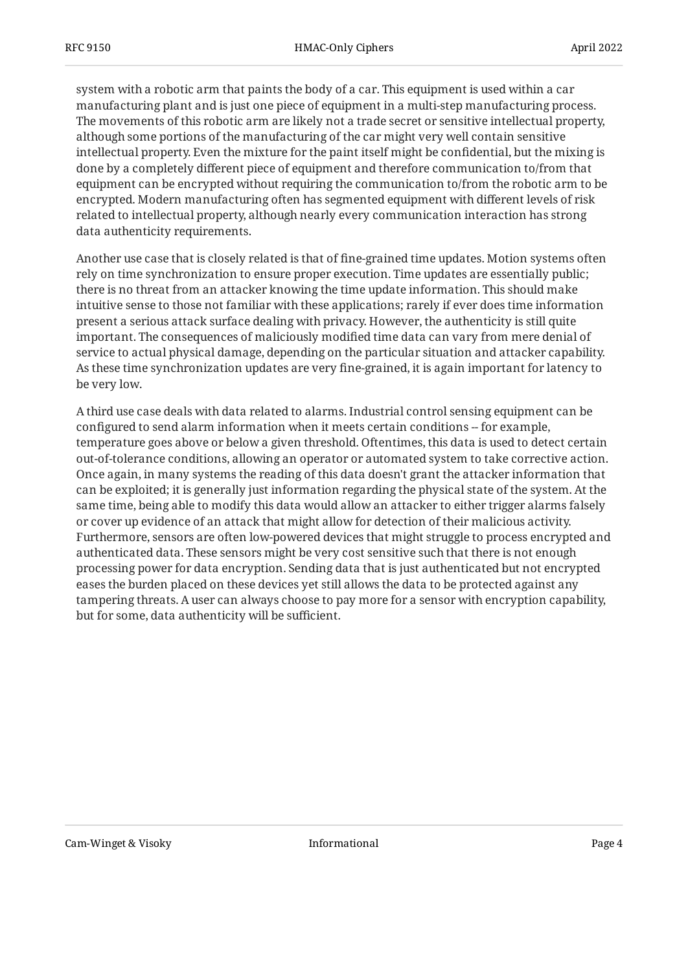system with a robotic arm that paints the body of a car. This equipment is used within a car manufacturing plant and is just one piece of equipment in a multi-step manufacturing process. The movements of this robotic arm are likely not a trade secret or sensitive intellectual property, although some portions of the manufacturing of the car might very well contain sensitive intellectual property. Even the mixture for the paint itself might be confidential, but the mixing is done by a completely different piece of equipment and therefore communication to/from that equipment can be encrypted without requiring the communication to/from the robotic arm to be encrypted. Modern manufacturing often has segmented equipment with different levels of risk related to intellectual property, although nearly every communication interaction has strong data authenticity requirements.

Another use case that is closely related is that of fine-grained time updates. Motion systems often rely on time synchronization to ensure proper execution. Time updates are essentially public; there is no threat from an attacker knowing the time update information. This should make intuitive sense to those not familiar with these applications; rarely if ever does time information present a serious attack surface dealing with privacy. However, the authenticity is still quite important. The consequences of maliciously modified time data can vary from mere denial of service to actual physical damage, depending on the particular situation and attacker capability. As these time synchronization updates are very fine-grained, it is again important for latency to be very low.

A third use case deals with data related to alarms. Industrial control sensing equipment can be configured to send alarm information when it meets certain conditions -- for example, temperature goes above or below a given threshold. Oftentimes, this data is used to detect certain out-of-tolerance conditions, allowing an operator or automated system to take corrective action. Once again, in many systems the reading of this data doesn't grant the attacker information that can be exploited; it is generally just information regarding the physical state of the system. At the same time, being able to modify this data would allow an attacker to either trigger alarms falsely or cover up evidence of an attack that might allow for detection of their malicious activity. Furthermore, sensors are often low-powered devices that might struggle to process encrypted and authenticated data. These sensors might be very cost sensitive such that there is not enough processing power for data encryption. Sending data that is just authenticated but not encrypted eases the burden placed on these devices yet still allows the data to be protected against any tampering threats. A user can always choose to pay more for a sensor with encryption capability, but for some, data authenticity will be sufficient.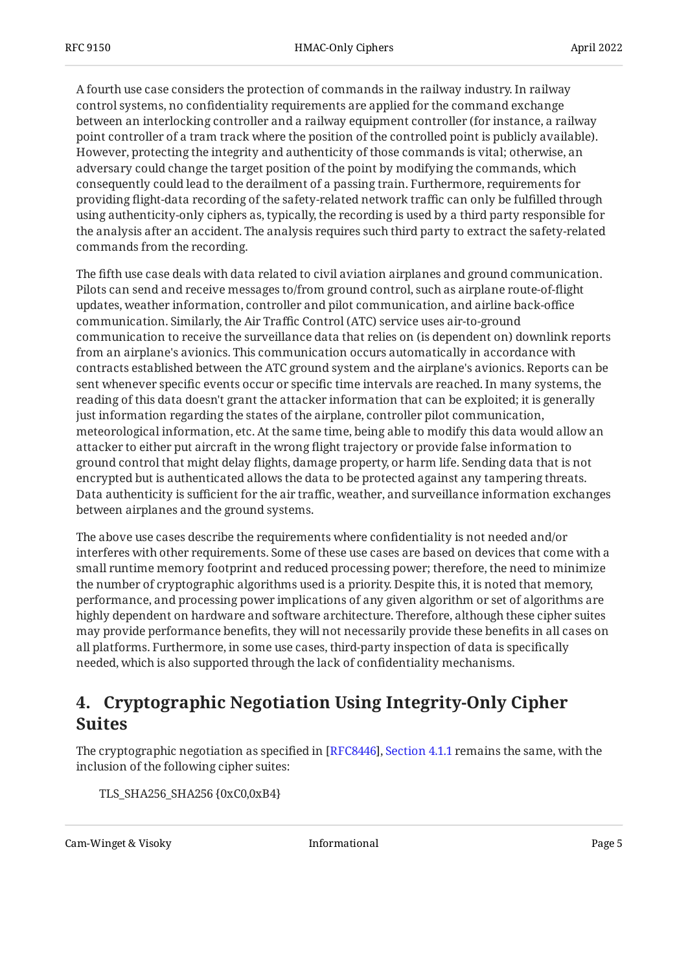A fourth use case considers the protection of commands in the railway industry. In railway control systems, no confidentiality requirements are applied for the command exchange between an interlocking controller and a railway equipment controller (for instance, a railway point controller of a tram track where the position of the controlled point is publicly available). However, protecting the integrity and authenticity of those commands is vital; otherwise, an adversary could change the target position of the point by modifying the commands, which consequently could lead to the derailment of a passing train. Furthermore, requirements for providing flight-data recording of the safety-related network traffic can only be fulfilled through using authenticity-only ciphers as, typically, the recording is used by a third party responsible for the analysis after an accident. The analysis requires such third party to extract the safety-related commands from the recording.

The fifth use case deals with data related to civil aviation airplanes and ground communication. Pilots can send and receive messages to/from ground control, such as airplane route-of-flight updates, weather information, controller and pilot communication, and airline back-office communication. Similarly, the Air Traffic Control (ATC) service uses air-to-ground communication to receive the surveillance data that relies on (is dependent on) downlink reports from an airplane's avionics. This communication occurs automatically in accordance with contracts established between the ATC ground system and the airplane's avionics. Reports can be sent whenever specific events occur or specific time intervals are reached. In many systems, the reading of this data doesn't grant the attacker information that can be exploited; it is generally just information regarding the states of the airplane, controller pilot communication, meteorological information, etc. At the same time, being able to modify this data would allow an attacker to either put aircraft in the wrong flight trajectory or provide false information to ground control that might delay flights, damage property, or harm life. Sending data that is not encrypted but is authenticated allows the data to be protected against any tampering threats. Data authenticity is sufficient for the air traffic, weather, and surveillance information exchanges between airplanes and the ground systems.

The above use cases describe the requirements where confidentiality is not needed and/or interferes with other requirements. Some of these use cases are based on devices that come with a small runtime memory footprint and reduced processing power; therefore, the need to minimize the number of cryptographic algorithms used is a priority. Despite this, it is noted that memory, performance, and processing power implications of any given algorithm or set of algorithms are highly dependent on hardware and software architecture. Therefore, although these cipher suites may provide performance benefits, they will not necessarily provide these benefits in all cases on all platforms. Furthermore, in some use cases, third-party inspection of data is specifically needed, which is also supported through the lack of confidentiality mechanisms.

# <span id="page-4-0"></span>**[4. Cryptographic Negotiation Using Integrity-Only Cipher](#page-4-0) [Suites](#page-4-0)**

The cryptographic negotiation as specified in [RFC8446], Section 4.1.1 remains the same, with the inclusion of the following cipher suites:

TLS\_SHA256\_SHA256 {0xC0,0xB4}

Cam-Winget & Visoky Informational Page 5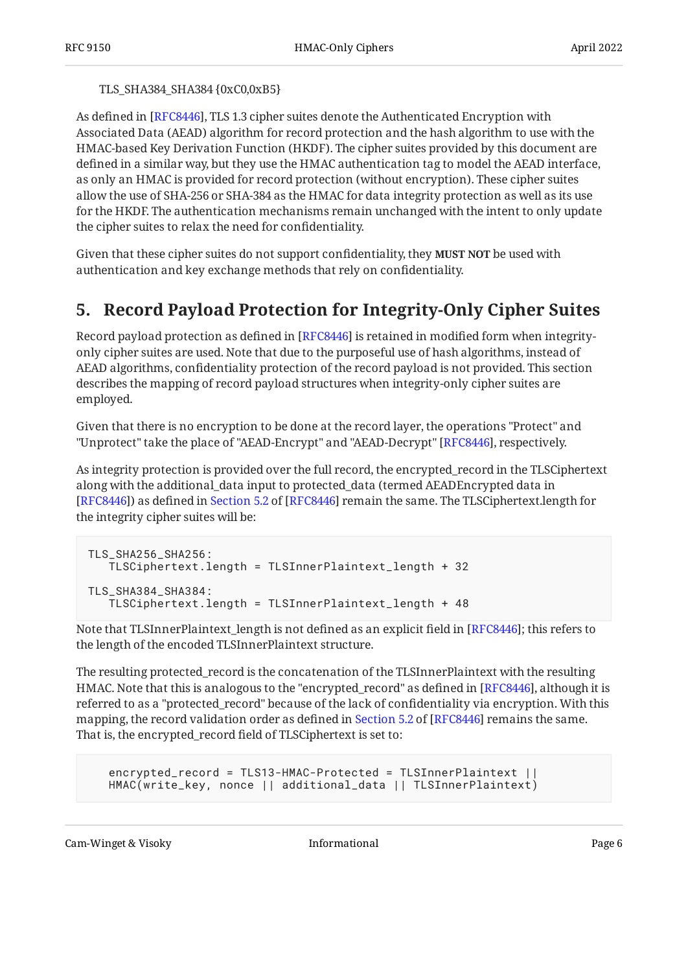#### TLS\_SHA384\_SHA384 {0xC0,0xB5}

As defined in [RFC8446], TLS 1.3 cipher suites denote the Authenticated Encryption with Associated Data (AEAD) algorithm for record protection and the hash algorithm to use with the HMAC-based Key Derivation Function (HKDF). The cipher suites provided by this document are defined in a similar way, but they use the HMAC authentication tag to model the AEAD interface, as only an HMAC is provided for record protection (without encryption). These cipher suites allow the use of SHA-256 or SHA-384 as the HMAC for data integrity protection as well as its use for the HKDF. The authentication mechanisms remain unchanged with the intent to only update the cipher suites to relax the need for confidentiality.

Given that these cipher suites do not support confidentiality, they **MUST NOT** be used with authentication and key exchange methods that rely on confidentiality.

# <span id="page-5-0"></span>**[5. Record Payload Protection for Integrity-Only Cipher Suites](#page-5-0)**

Record payload protection as defined in [RFC8446] is retained in modified form when integrityonly cipher suites are used. Note that due to the purposeful use of hash algorithms, instead of AEAD algorithms, confidentiality protection of the record payload is not provided. This section describes the mapping of record payload structures when integrity-only cipher suites are employed.

Given that there is no encryption to be done at the record layer, the operations "Protect" and "Unprotect" take the place of "AEAD-Encrypt" and "AEAD-Decrypt" [[RFC8446\]](#page-9-3), respectively.

As integrity protection is provided over the full record, the encrypted\_record in the TLSCiphertext along with the additional\_data input to protected\_data (termed AEADEncrypted data in [RFC8446])as defined in Section 5.2 of [[RFC8446\]](#page-9-3) remain the same. The TLSCiphertext.length for the integrity cipher suites will be:

```
TLS_SHA256_SHA256:
    TLSCiphertext.length = TLSInnerPlaintext_length + 32
TLS_SHA384_SHA384:
    TLSCiphertext.length = TLSInnerPlaintext_length + 48
```
Note that TLSInnerPlaintext\_length is not defined as an explicit field in [RFC8446]; this refers to the length of the encoded TLSInnerPlaintext structure.

The resulting protected\_record is the concatenation of the TLSInnerPlaintext with the resulting HMAC. Note that this is analogous to the "encrypted\_record" as defined in [RFC8446], although it is referred to as a "protected\_record" because of the lack of confidentiality via encryption. With this mapping,the record validation order as defined in Section 5.2 of [RFC8446] remains the same. That is, the encrypted\_record field of TLSCiphertext is set to:

```
 encrypted_record = TLS13-HMAC-Protected = TLSInnerPlaintext ||
 HMAC(write_key, nonce || additional_data || TLSInnerPlaintext)
```
Cam-Winget & Visoky Informational Page 6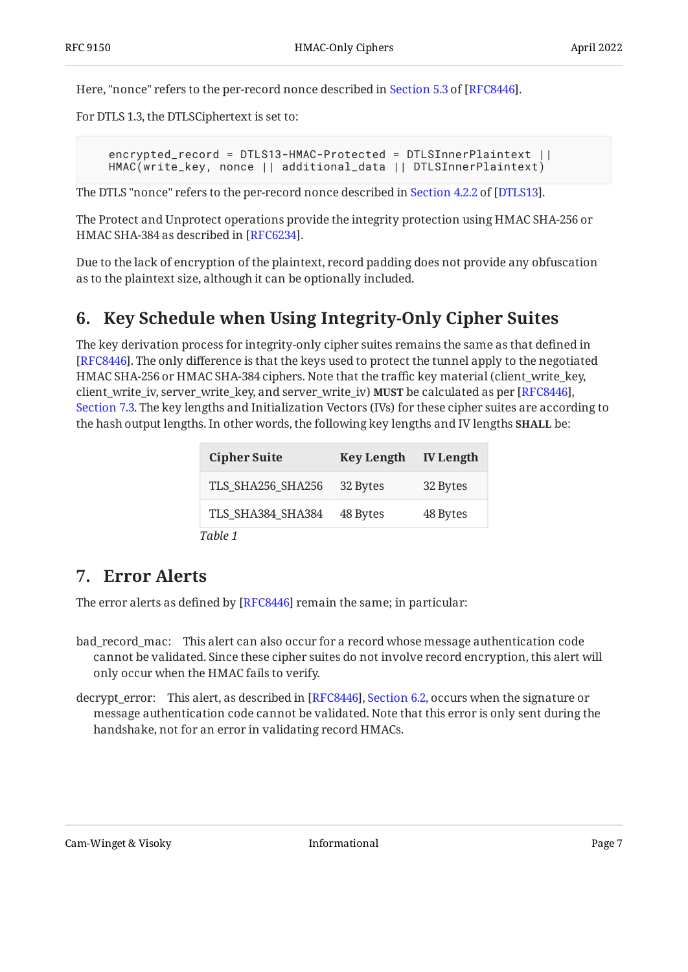Here,"nonce" refers to the per-record nonce described in Section 5.3 of [RFC8446].

For DTLS 1.3, the DTLSCiphertext is set to:

 encrypted\_record = DTLS13-HMAC-Protected = DTLSInnerPlaintext || HMAC(write\_key, nonce || additional\_data || DTLSInnerPlaintext)

TheDTLS "nonce" refers to the per-record nonce described in Section 4.2.2 of [DTLS13].

The Protect and Unprotect operations provide the integrity protection using HMAC SHA-256 or HMAC SHA-384 as described in [RFC6234].

<span id="page-6-0"></span>Due to the lack of encryption of the plaintext, record padding does not provide any obfuscation as to the plaintext size, although it can be optionally included.

### **[6. Key Schedule when Using Integrity-Only Cipher Suites](#page-6-0)**

The key derivation process for integrity-only cipher suites remains the same as that defined in [[RFC8446\]](#page-9-3). The only difference is that the keys used to protect the tunnel apply to the negotiated HMAC SHA-256 or HMAC SHA-384 ciphers. Note that the traffic key material (client\_write\_key, client\_write\_iv, server\_write\_key, and server\_write\_iv) MUST be calculated as per [\[RFC8446](#page-9-3)], [Section 7.3](https://www.rfc-editor.org/rfc/rfc8446#section-7.3). The key lengths and Initialization Vectors (IVs) for these cipher suites are according to the hash output lengths. In other words, the following key lengths and IV lengths **SHALL** be:

<span id="page-6-2"></span>

| <b>Cipher Suite</b> | <b>Key Length</b> | <b>IV Length</b> |
|---------------------|-------------------|------------------|
| TLS SHA256 SHA256   | 32 Bytes          | 32 Bytes         |
| TLS SHA384 SHA384   | 48 Bytes          | 48 Bytes         |
| Table 1             |                   |                  |

### <span id="page-6-1"></span>**[7. Error Alerts](#page-6-1)**

The error alerts as defined by [<mark>RFC8446]</mark> remain the same; in particular:

- bad\_record\_mac: This alert can also occur for a record whose message authentication code cannot be validated. Since these cipher suites do not involve record encryption, this alert will only occur when the HMAC fails to verify.
- decrypt\_error: This alert, as described in [RFC8446], Section 6.2, occurs when the signature or message authentication code cannot be validated. Note that this error is only sent during the handshake, not for an error in validating record HMACs.

Cam-Winget & Visoky Informational Page 7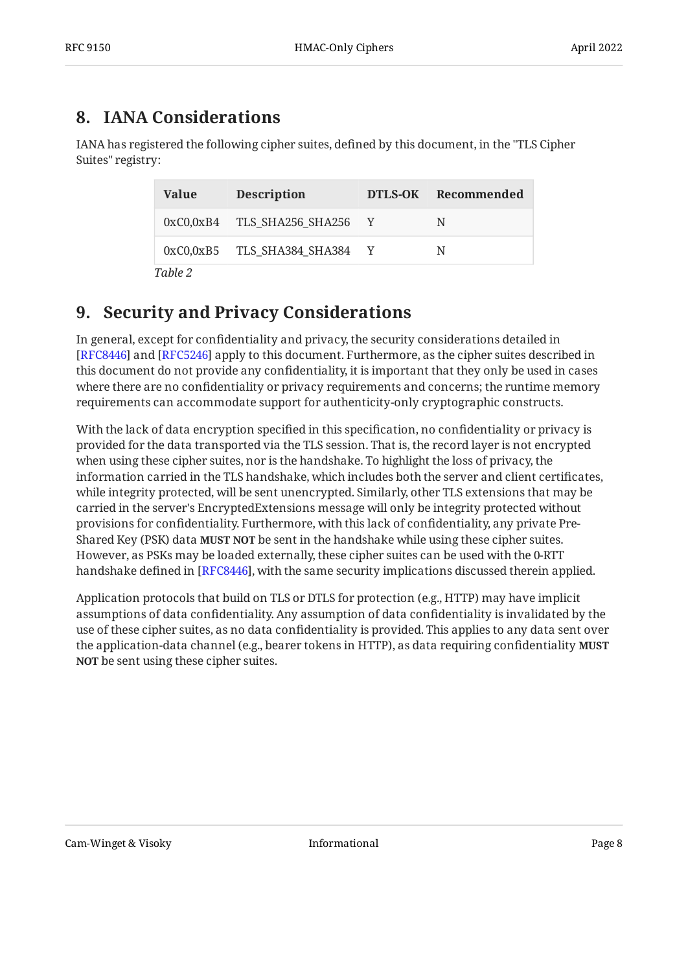# <span id="page-7-0"></span>**[8. IANA Considerations](#page-7-0)**

IANA has registered the following cipher suites, defined by this document, in the "TLS Cipher Suites" registry:

<span id="page-7-2"></span>

| Value   | <b>Description</b>            | DTLS-OK Recommended |
|---------|-------------------------------|---------------------|
|         | 0xC0,0xB4 TLS SHA256 SHA256 Y | N                   |
|         | 0xC0,0xB5 TLS SHA384 SHA384 Y | N                   |
| Table 2 |                               |                     |

# <span id="page-7-1"></span>**[9. Security and Privacy Considerations](#page-7-1)**

In general, except for confidentiality and privacy, the security considerations detailed in [[RFC8446\]](#page-9-3) and [RFC5246] apply to this document. Furthermore, as the cipher suites described in this document do not provide any confidentiality, it is important that they only be used in cases where there are no confidentiality or privacy requirements and concerns; the runtime memory requirements can accommodate support for authenticity-only cryptographic constructs.

With the lack of data encryption specified in this specification, no confidentiality or privacy is provided for the data transported via the TLS session. That is, the record layer is not encrypted when using these cipher suites, nor is the handshake. To highlight the loss of privacy, the information carried in the TLS handshake, which includes both the server and client certificates, while integrity protected, will be sent unencrypted. Similarly, other TLS extensions that may be carried in the server's EncryptedExtensions message will only be integrity protected without provisions for confidentiality. Furthermore, with this lack of confidentiality, any private Pre-Shared Key (PSK) data **MUST NOT** be sent in the handshake while using these cipher suites. However, as PSKs may be loaded externally, these cipher suites can be used with the 0-RTT handshake defined in [RFC8446], with the same security implications discussed therein applied.

Application protocols that build on TLS or DTLS for protection (e.g., HTTP) may have implicit assumptions of data confidentiality. Any assumption of data confidentiality is invalidated by the use of these cipher suites, as no data confidentiality is provided. This applies to any data sent over the application-data channel (e.g., bearer tokens in HTTP), as data requiring confidentiality **MUST NOT** be sent using these cipher suites.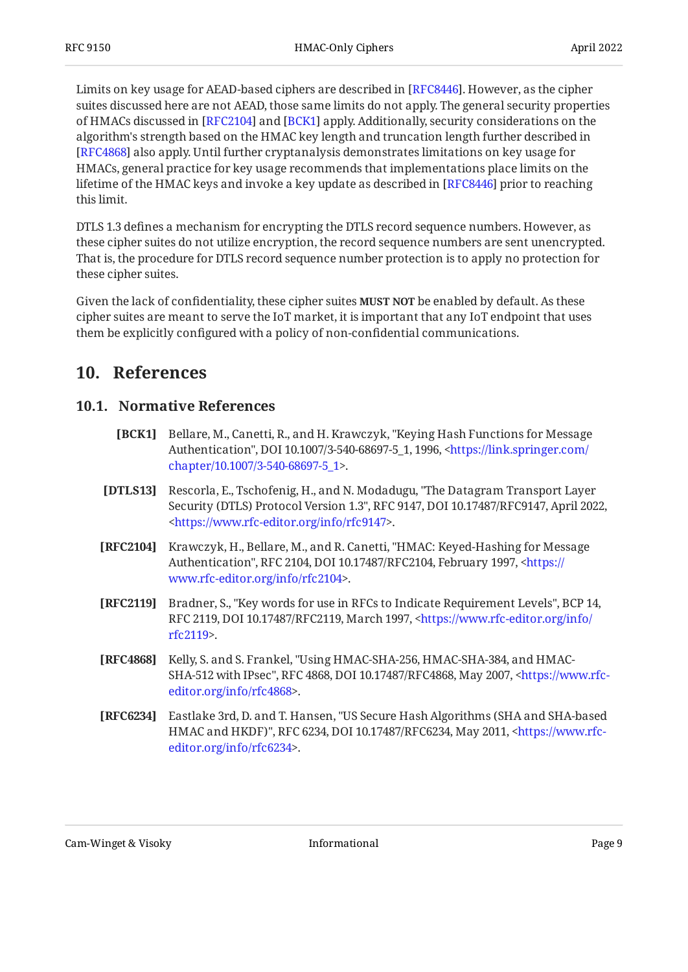Limits on key usage for AEAD-based ciphers are described in [RFC8446]. However, as the cipher suites discussed here are not AEAD, those same limits do not apply. The general security properties of HMACs discussed in [RFC2104] and [BCK1] apply. Additionally, security considerations on the algorithm's strength based on the HMAC key length and truncation length further described in [[RFC4868\]](#page-8-7) also apply. Until further cryptanalysis demonstrates limitations on key usage for HMACs, general practice for key usage recommends that implementations place limits on the lifetime of the HMAC keys and invoke a key update as described in [RFC8446] prior to reaching this limit.

DTLS 1.3 defines a mechanism for encrypting the DTLS record sequence numbers. However, as these cipher suites do not utilize encryption, the record sequence numbers are sent unencrypted. That is, the procedure for DTLS record sequence number protection is to apply no protection for these cipher suites.

Given the lack of confidentiality, these cipher suites **MUST NOT** be enabled by default. As these cipher suites are meant to serve the IoT market, it is important that any IoT endpoint that uses them be explicitly configured with a policy of non-confidential communications.

#### <span id="page-8-1"></span><span id="page-8-0"></span>**[10. References](#page-8-0)**

#### <span id="page-8-6"></span>**[10.1. Normative References](#page-8-1)**

- **[BCK1]** Bellare, M., Canetti, R., and H. Krawczyk, "Keying Hash Functions for Message Authentication", DOI 10.1007/3-540-68697-5\_1, 1996, [<https://link.springer.com/](https://link.springer.com/chapter/10.1007/3-540-68697-5_1) . [chapter/10.1007/3-540-68697-5\\_1>](https://link.springer.com/chapter/10.1007/3-540-68697-5_1)
- <span id="page-8-4"></span>**[DTLS13]** Rescorla, E., Tschofenig, H., and N. Modadugu, "The Datagram Transport Layer Security (DTLS) Protocol Version 1.3", RFC 9147, DOI 10.17487/RFC9147, April 2022, . [<https://www.rfc-editor.org/info/rfc9147](https://www.rfc-editor.org/info/rfc9147)>
- <span id="page-8-5"></span>**[RFC2104]** Krawczyk, H., Bellare, M., and R. Canetti, "HMAC: Keyed-Hashing for Message Authentication", RFC 2104, DOI 10.17487/RFC2104, February 1997, <[https://](https://www.rfc-editor.org/info/rfc2104) . [www.rfc-editor.org/info/rfc2104>](https://www.rfc-editor.org/info/rfc2104)
- <span id="page-8-2"></span>**[RFC2119]** Bradner, S., "Key words for use in RFCs to Indicate Requirement Levels", BCP 14, RFC 2119, DOI 10.17487/RFC2119, March 1997, [<https://www.rfc-editor.org/info/](https://www.rfc-editor.org/info/rfc2119) . [rfc2119](https://www.rfc-editor.org/info/rfc2119)>
- <span id="page-8-7"></span>**[RFC4868]** Kelly, S. and S. Frankel, "Using HMAC-SHA-256, HMAC-SHA-384, and HMAC-SHA-512 with IPsec", RFC 4868, DOI 10.17487/RFC4868, May 2007, [<https://www.rfc-](https://www.rfc-editor.org/info/rfc4868). [editor.org/info/rfc4868](https://www.rfc-editor.org/info/rfc4868)>
- <span id="page-8-3"></span>**[RFC6234]** Eastlake 3rd, D. and T. Hansen, "US Secure Hash Algorithms (SHA and SHA-based HMAC and HKDF)", RFC 6234, DOI 10.17487/RFC6234, May 2011, [<https://www.rfc-](https://www.rfc-editor.org/info/rfc6234). [editor.org/info/rfc6234](https://www.rfc-editor.org/info/rfc6234)>